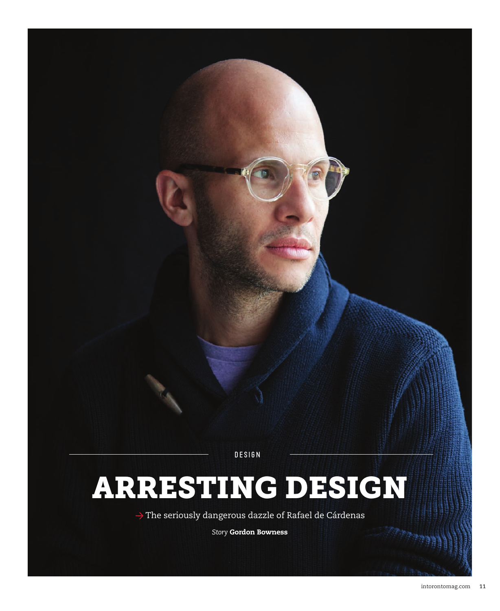DESIGN

# ARRESTING DESIGN

→ The seriously dangerous dazzle of Rafael de Cárdenas

*Story* Gordon Bowness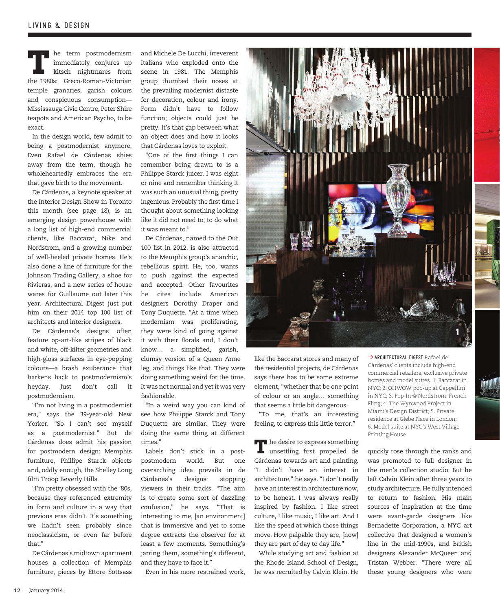The term postmodernism<br>
immediately conjures up<br>
kitsch nightmares from<br>
the 1000s: Cross Brunen Victorian immediately conjures up kitsch nightmares from the 1980s: Greco-Roman-Victorian temple granaries, garish colours and conspicuous consumption— Mississauga Civic Centre, Peter Shire teapots and American Psycho, to be exact.

In the design world, few admit to being a postmodernist anymore. Even Rafael de Cárdenas shies away from the term, though he wholeheartedly embraces the era that gave birth to the movement.

De Cárdenas, a keynote speaker at the Interior Design Show in Toronto this month (see page 18), is an emerging design powerhouse with a long list of high-end commercial clients, like Baccarat, Nike and Nordstrom, and a growing number of well-heeled private homes. He's also done a line of furniture for the Johnson Trading Gallery, a shoe for Rivieras, and a new series of house wares for Guillaume out later this year. Architectural Digest just put him on their 2014 top 100 list of architects and interior designers.

De Cárdenas's designs often feature op-art-like stripes of black and white, off-kilter geometries and high-gloss surfaces in eye-popping colours—a brash exuberance that harkens back to postmodernism's heyday. Just don't call it postmodernism.

"I'm not living in a postmodernist era," says the 39-year-old New Yorker. "So I can't see myself as a postmodernist." But de Cárdenas does admit his passion for postmodern design: Memphis furniture, Phillipe Starck objects and, oddly enough, the Shelley Long film Troop Beverly Hills.

"I'm pretty obsessed with the '80s, because they referenced extremity in form and culture in a way that previous eras didn't. It's something we hadn't seen probably since neoclassicism, or even far before that."

De Cárdenas's midtown apartment houses a collection of Memphis furniture, pieces by Ettore Sottsass

and Michele De Lucchi, irreverent Italians who exploded onto the scene in 1981. The Memphis group thumbed their noses at the prevailing modernist distaste for decoration, colour and irony. Form didn't have to follow function; objects could just be pretty. It's that gap between what an object does and how it looks that Cárdenas loves to exploit.

"One of the first things I can remember being drawn to is a Philippe Starck juicer. I was eight or nine and remember thinking it was such an unusual thing, pretty ingenious. Probably the first time I thought about something looking like it did not need to, to do what it was meant to."

De Cárdenas, named to the Out 100 list in 2012, is also attracted to the Memphis group's anarchic, rebellious spirit. He, too, wants to push against the expected and accepted. Other favourites he cites include American designers Dorothy Draper and Tony Duquette. "At a time when modernism was proliferating, they were kind of going against it with their florals and, I don't know... a simplified, garish, clumsy version of a Queen Anne leg, and things like that. They were doing something weird for the time. It was not normal and yet it was very fashionable.

"In a weird way you can kind of see how Philippe Starck and Tony Duquette are similar. They were doing the same thing at different times."

Labels don't stick in a postpostmodern world. But one overarching idea prevails in de Cárdenas's designs: stopping viewers in their tracks. "The aim is to create some sort of dazzling confusion," he says. "That is interesting to me, [an environment] that is immersive and yet to some degree extracts the observer for at least a few moments. Something's jarring them, something's different, and they have to face it."

Even in his more restrained work,



like the Baccarat stores and many of the residential projects, de Cárdenas says there has to be some extreme element, "whether that be one point of colour or an angle… something that seems a little bit dangerous.

"To me, that's an interesting feeling, to express this little terror."

The desire to express something<br>unsettling first propelled de Cárdenas towards art and painting. "I didn't have an interest in architecture," he says. "I don't really have an interest in architecture now, to be honest. I was always really inspired by fashion. I like street culture, I like music, I like art. And I like the speed at which those things move. How palpable they are, [how] they are part of day to day life."

While studying art and fashion at the Rhode Island School of Design, he was recruited by Calvin Klein. He

→ ARCHITECTURAL DIGEST Rafael de Cárdenas' clients include high-end commercial retailers, exclusive private homes and model suites. 1. Baccarat in NYC; 2. OHWOW pop-up at Cappellini in NYC; 3. Pop-In @ Nordstrom: French Fling; 4. The Wynwood Project in Miami's Design District; 5. Private residence at Glebe Place in London; 6. Model suite at NYC's West Village Printing House.

quickly rose through the ranks and was promoted to full designer in the men's collection studio. But he left Calvin Klein after three years to study architecture. He fully intended to return to fashion. His main sources of inspiration at the time were avant-garde designers like Bernadette Corporation, a NYC art collective that designed a women's line in the mid-1990s, and British designers Alexander McQueen and Tristan Webber. "There were all these young designers who were